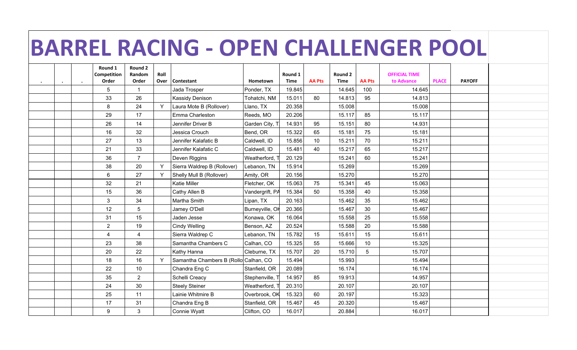## **BARREL RACING - OPEN CHALLENGER POOL**

|  | Round 1<br>Competition | Round 2<br>Random | Roll |                                       |                 | Round 1     |               | Round 2     |                 | <b>OFFICIAL TIME</b> |              |               |  |
|--|------------------------|-------------------|------|---------------------------------------|-----------------|-------------|---------------|-------------|-----------------|----------------------|--------------|---------------|--|
|  | Order                  | Order             | Over | Contestant                            | Hometown        | <b>Time</b> | <b>AA Pts</b> | <b>Time</b> | <b>AA Pts</b>   | to Advance           | <b>PLACE</b> | <b>PAYOFF</b> |  |
|  | 5                      | -1                |      | Jada Trosper                          | Ponder, TX      | 19.845      |               | 14.645      | 100             | 14.645               |              |               |  |
|  | 33                     | 26                |      | Kassidy Denison                       | Tohatchi, NM    | 15.011      | 80            | 14.813      | 95              | 14.813               |              |               |  |
|  | 8                      | 24                | Y    | Laura Mote B (Rollover)               | Llano, TX       | 20.358      |               | 15.008      |                 | 15.008               |              |               |  |
|  | 29                     | 17                |      | Emma Charleston                       | Reeds, MO       | 20.206      |               | 15.117      | 85              | 15.117               |              |               |  |
|  | 26                     | 14                |      | Jennifer Driver B                     | Garden City, T  | 14.931      | 95            | 15.151      | 80              | 14.931               |              |               |  |
|  | 16                     | 32                |      | Jessica Crouch                        | Bend, OR        | 15.322      | 65            | 15.181      | 75              | 15.181               |              |               |  |
|  | 27                     | 13                |      | Jennifer Kalafatic B                  | Caldwell, ID    | 15.856      | 10            | 15.211      | 70              | 15.211               |              |               |  |
|  | 21                     | 33                |      | Jennifer Kalafatic C                  | Caldwell, ID    | 15.481      | 40            | 15.217      | 65              | 15.217               |              |               |  |
|  | 36                     | $\overline{7}$    |      | Deven Riggins                         | Weatherford,    | 20.129      |               | 15.241      | 60              | 15.241               |              |               |  |
|  | 38                     | 20                | Y    | Sierra Waldrep B (Rollover)           | Lebanon, TN     | 15.914      |               | 15.269      |                 | 15.269               |              |               |  |
|  | 6                      | 27                | Y    | Shelly Mull B (Rollover)              | Amity, OR       | 20.156      |               | 15.270      |                 | 15.270               |              |               |  |
|  | 32                     | 21                |      | Katie Miller                          | Fletcher, OK    | 15.063      | 75            | 15.341      | 45              | 15.063               |              |               |  |
|  | 15                     | 36                |      | Cathy Allen B                         | Vandergrift, PA | 15.384      | 50            | 15.358      | 40              | 15.358               |              |               |  |
|  | 3                      | 34                |      | Martha Smith                          | Lipan, TX       | 20.163      |               | 15.462      | 35              | 15.462               |              |               |  |
|  | 12                     | 5                 |      | Jamey O'Dell                          | Burneyville, Or | 20.366      |               | 15.467      | 30              | 15.467               |              |               |  |
|  | 31                     | 15                |      | Jaden Jesse                           | Konawa, OK      | 16.064      |               | 15.558      | 25              | 15.558               |              |               |  |
|  | $\sqrt{2}$             | 19                |      | <b>Cindy Welling</b>                  | Benson, AZ      | 20.524      |               | 15.588      | 20              | 15.588               |              |               |  |
|  | $\overline{4}$         | $\overline{4}$    |      | Sierra Waldrep C                      | Lebanon, TN     | 15.782      | 15            | 15.611      | 15              | 15.611               |              |               |  |
|  | 23                     | 38                |      | Samantha Chambers C                   | Calhan, CO      | 15.325      | 55            | 15.666      | 10              | 15.325               |              |               |  |
|  | 20                     | 22                |      | Kathy Hanna                           | Cleburne, TX    | 15.707      | 20            | 15.710      | $5\phantom{.0}$ | 15.707               |              |               |  |
|  | 18                     | 16                | Y    | Samantha Chambers B (Rollo Calhan, CO |                 | 15.494      |               | 15.993      |                 | 15.494               |              |               |  |
|  | 22                     | 10                |      | Chandra Eng C                         | Stanfield, OR   | 20.089      |               | 16.174      |                 | 16.174               |              |               |  |
|  | 35                     | $\overline{2}$    |      | Schelli Creacy                        | Stephenville, T | 14.957      | 85            | 19.913      |                 | 14.957               |              |               |  |
|  | 24                     | 30                |      | <b>Steely Steiner</b>                 | Weatherford,    | 20.310      |               | 20.107      |                 | 20.107               |              |               |  |
|  | 25                     | 11                |      | Lainie Whitmire B                     | Overbrook, OK   | 15.323      | 60            | 20.197      |                 | 15.323               |              |               |  |
|  | 17                     | 31                |      | Chandra Eng B                         | Stanfield, OR   | 15.467      | 45            | 20.320      |                 | 15.467               |              |               |  |
|  | 9                      | 3                 |      | Connie Wyatt                          | Clifton, CO     | 16.017      |               | 20.884      |                 | 16.017               |              |               |  |